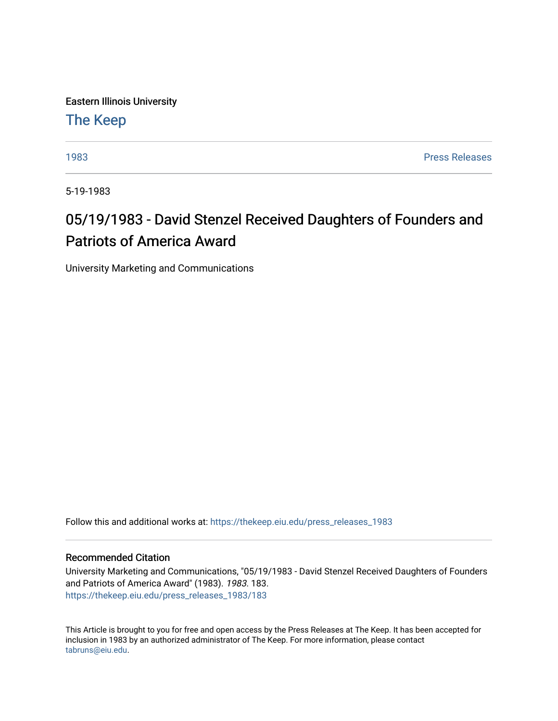Eastern Illinois University

[The Keep](https://thekeep.eiu.edu/) 

[1983](https://thekeep.eiu.edu/press_releases_1983) [Press Releases](https://thekeep.eiu.edu/press_releases_collection) 

5-19-1983

## 05/19/1983 - David Stenzel Received Daughters of Founders and Patriots of America Award

University Marketing and Communications

Follow this and additional works at: [https://thekeep.eiu.edu/press\\_releases\\_1983](https://thekeep.eiu.edu/press_releases_1983?utm_source=thekeep.eiu.edu%2Fpress_releases_1983%2F183&utm_medium=PDF&utm_campaign=PDFCoverPages) 

## Recommended Citation

University Marketing and Communications, "05/19/1983 - David Stenzel Received Daughters of Founders and Patriots of America Award" (1983). 1983. 183. [https://thekeep.eiu.edu/press\\_releases\\_1983/183](https://thekeep.eiu.edu/press_releases_1983/183?utm_source=thekeep.eiu.edu%2Fpress_releases_1983%2F183&utm_medium=PDF&utm_campaign=PDFCoverPages) 

This Article is brought to you for free and open access by the Press Releases at The Keep. It has been accepted for inclusion in 1983 by an authorized administrator of The Keep. For more information, please contact [tabruns@eiu.edu.](mailto:tabruns@eiu.edu)